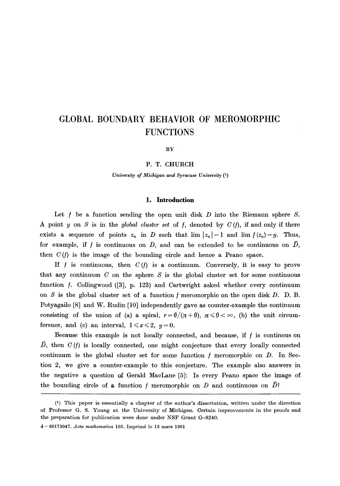# **GLOBAL BOUNDARY BEHAVIOR OF MEROMORPHIC FUNCTIONS**

BY

#### P. T. CHURCH

*University of Michigan and Syracuse University (1)* 

#### **1. Introduction**

Let f be a function sending the open unit disk  $D$  into the Riemann sphere  $S$ . A point y on S is in the *global cluster set* of f, denoted by  $C(f)$ , if and only if there exists a sequence of points  $z_n$  in D such that  $\lim |z_n| = 1$  and  $\lim f(z_n) = y$ . Thus, for example, if f is continuous on D, and can be extended to be continuous on  $\overline{D}$ , then  $C(f)$  is the image of the bounding circle and hence a Peano space.

If f is continuous, then  $C(f)$  is a continuum. Conversely, it is easy to prove that any continuum  $C$  on the sphere  $S$  is the global cluster set for some continuous function f. Collingwood ([3], p. 123) and Cartwright asked whether every continuum on S is the global cluster set of a function  $f$  meromorphic on the open disk D. D. B. Potyagailo [8] and W. Rudin [10] independently gave as counter-example the continuum consisting of the union of (a) a spiral,  $r=\theta/(\pi+\theta)$ ,  $\pi \leq \theta < \infty$ , (b) the unit circumference, and (c) an interval,  $1 \le x \le 2$ ,  $y=0$ .

Because this example is not locally connected, and because, if  $f$  is continuous on  $\bar{D}$ , then  $C(f)$  is locally connected, one might conjecture that every locally connected continuum is the global cluster set for some function  $f$  meromorphic on  $D$ . In Section 2, we give a counter-example to this conjecture. The example also answers in the negative a question of Gerald MacLane [5]: Is every Peano space the image of the bounding circle of a function f meromorphic on  $D$  and continuous on  $\bar{D}$ ?

<sup>(1)</sup> This paper is essentially a chapter of the author's dissertation, written under the direction of Professor G. S. Young at the University of Michigan. Certain improvements in the proofs and the preparation for publication were done under NSF Grant G-8240.

<sup>4- 60173047.</sup> *Acta mathematica* 105. Imprim6 le 13 mars 1961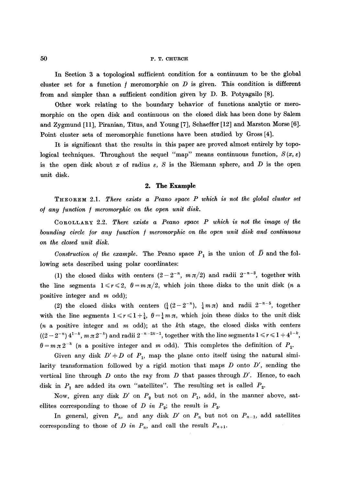#### 50 P.T. CHURCH

In Section 3 a topological sufficient condition for a continuum to be the global cluster set for a function  $f$  meromorphic on  $D$  is given. This condition is different from and simpler than a sufficient condition given by D. B. Potyagailo [8].

Other work relating to the boundary behavior of functions analytic or meromorphic on the open disk and continuous on the closed disk has been done by Salem and Zygmund [11], Piranian, Titus, and Young [7], Schaeffer [12] and Marston Morse [6]. Point cluster sets of meromorphic functions have been studied by Gross [4].

It is significant that the results in this paper are proved almost entirely by topological techniques. Throughout the sequel "map" means continuous function,  $S(x, \varepsilon)$ is the open disk about x of radius  $\varepsilon$ , S is the Riemann sphere, and D is the open unit disk.

#### **2. The Example**

THeOReM 2.1. *There exists a Peano space P which is not the global cluster set o/ any /unction / meromorphic on the open unit disk.* 

COROLLARY 2.2. *There exists a Peano space P which is not the image of the bounding circle /or any /unction / meromorphic on the open unit disk and continuous on the closed unit disk.* 

*Construction of the example.* The Peano space  $P_1$  is the union of  $\overline{D}$  and the following sets described using polar coordinates:

(1) the closed disks with centers  $(2-2^{-n}, m\pi/2)$  and radii  $2^{-n-3}$ , together with the line segments  $1 \le r \le 2$ ,  $\theta = m \pi/2$ , which join these disks to the unit disk (*n* a positive integer and m odd);

(2) the closed disks with centers  $(\frac{1}{4}(2-2^{-n}), \frac{1}{4}m\pi)$  and radii  $2^{-n-5}$ , together with the line segments  $1 \le r \le 1 + \frac{1}{4}$ ,  $\theta = \frac{1}{4} m \pi$ , which join these disks to the unit disk  $(n \text{ a positive integer and } m \text{ odd});$  at the kth stage, the closed disks with centers  $((2-2^{-n}) 4^{1-k}, m \pi 2^{-k})$  and radii  $2^{-n-2k-1}$ , together with the line segments  $1 \leq r \leq 1+4^{1-k}$ ,  $\theta = m \pi 2^{-k}$  (*n* a positive integer and *m* odd). This completes the definition of  $P_1$ .

Given any disk  $D' \doteq D$  of  $P_1$ , map the plane onto itself using the natural similarity transformation followed by a rigid motion that maps D onto *D',* sending the vertical line through  $D$  onto the ray from  $D$  that passes through  $D'$ . Hence, to each disk in  $P_1$  are added its own "satellites". The resulting set is called  $P_2$ .

Now, given any disk  $D'$  on  $P_2$  but not on  $P_1$ , add, in the manner above, satellites corresponding to those of *D* in  $P_2$ ; the result is  $P_3$ .

In general, given  $P_n$ , and any disk  $D'$  on  $P_n$  but not on  $P_{n-1}$ , add satellites corresponding to those of *D* in  $P_n$ , and call the result  $P_{n+1}$ .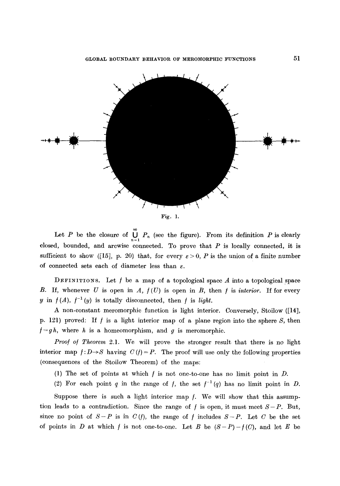

Let P be the closure of  $\bigcup_{n=1}^{\infty} P_n$  (see the figure). From its definition P is clearly closed, bounded, and arcwise connected. To prove that  $P$  is locally connected, it is sufficient to show ([15], p. 20) that, for every  $\varepsilon > 0$ , P is the union of a finite number of connected sets each of diameter less than  $\varepsilon$ .

DEFINITIONS. Let  $f$  be a map of a topological space  $A$  into a topological space B. If, whenever  $U$  is open in  $A$ ,  $f(U)$  is open in  $B$ , then  $f$  is *interior*. If for every y in  $f(A)$ ,  $f^{-1}(y)$  is totally disconnected, then f is *light*.

A non-constant meromorphic function is light interior. Conversely, Stoilow ([14], p. 121) proved: If f is a light interior map of a plane region into the sphere S, then  $f = gh$ , where h is a homeomorphism, and g is meromorphic.

*Proof of Theorem 2.1.* We will prove the stronger result that there is no light interior map  $f: D \rightarrow S$  having  $C(f) = P$ . The proof will use only the following properties (consequences of the Stoilow Theorem) of the maps:

- (1) The set of points at which  $f$  is not one-to-one has no limit point in  $D$ .
- (2) For each point q in the range of f, the set  $f^{-1}(q)$  has no limit point in D.

Suppose there is such a light interior map  $f$ . We will show that this assumption leads to a contradiction. Since the range of f is open, it must meet  $S-P$ . But, since no point of  $S-P$  is in  $C(f)$ , the range of f includes  $S-P$ . Let C be the set of points in D at which f is not one-to-one. Let B be  $(S-P)-f(C)$ , and let E be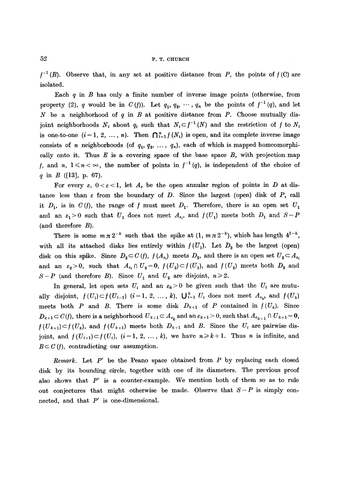$f^{-1}(B)$ . Observe that, in any set at positive distance from P, the points of  $f(C)$  are isolated.

Each  $q$  in  $B$  has only a finite number of inverse image points (otherwise, from property (2), q would be in  $C(f)$ . Let  $q_1, q_2, \cdots, q_n$  be the points of  $f^{-1}(q)$ , and let N be a neighborhood of q in B at positive distance from P. Choose mutually disjoint neighborhoods  $N_i$  about  $q_i$  such that  $N_i \subset f^{-1}(N)$  and the restriction of f to  $N_i$ is one-to-one  $(i = 1, 2, ..., n)$ . Then  $\bigcap_{i=1}^{n} f(N_i)$  is open, and its complete inverse image consists of n neighborhoods (of  $q_1, q_2, \ldots, q_n$ ), each of which is mapped homeomorphically onto it. Thus  $E$  is a covering space of the base space  $B$ , with projection map f, and n,  $1 \le n < \infty$ , the number of points in  $f^{-1}(q)$ , is independent of the choice of q in  $B$  ([13], p. 67).

For every  $\varepsilon$ ,  $0 < \varepsilon < 1$ , let  $A_{\varepsilon}$  be the open annular region of points in D at distance less than  $\varepsilon$  from the boundary of D. Since the largest (open) disk of P, call it  $D_1$ , is in  $C(f)$ , the range of f must meet  $D_1$ . Therefore, there is an open set  $U_1$ and an  $\varepsilon_1>0$  such that  $U_1$  does not meet  $A_{\varepsilon_1}$ , and  $f(U_1)$  meets both  $D_1$  and  $S-P$ (and therefore  $B$ ).

There is some  $m \pi 2^{-k}$  such that the spike at  $(1, m \pi 2^{-k})$ , which has length  $4^{1-k}$ , with all its attached disks lies entirely within  $f(U_1)$ . Let  $D_2$  be the largest (open) disk on this spike. Since  $D_2 \subset C(f)$ ,  $f(A_{\varepsilon_1})$  meets  $D_2$ , and there is an open set  $U_2 \subset A_{\varepsilon_1}$ and an  $\varepsilon_2>0$ , such that  $A_{\varepsilon_1} \cap U_2=0$ ,  $f(U_2)\subset f(U_1)$ , and  $f(U_2)$  meets both  $D_2$  and  $S-P$  (and therefore B). Since  $U_1$  and  $U_2$  are disjoint,  $n\geq 2$ .

In general, let open sets  $U_i$  and an  $\varepsilon_k > 0$  be given such that the  $U_i$  are mutually disjoint,  $f(U_i) \subset f(U_{i-1})$   $(i=1, 2, ..., k)$ ,  $\bigcup_{i=1}^{k} U_i$  does not meet  $A_{\varepsilon_k}$ , and  $f(U_k)$ meets both P and B. There is some disk  $D_{k+1}$  of P contained in  $f(U_k)$ . Since  $D_{k+1} \subset C(f)$ , there is a neighborhood  $U_{k+1} \subset A_{\epsilon_k}$  and an  $\epsilon_{k+1} > 0$ , such that  $A_{\epsilon_{k+1}} \cap U_{k+1} = 0$ ,  $f(U_{k+1})\subset f(U_k)$ , and  $f(U_{k+1})$  meets both  $D_{k+1}$  and B. Since the  $U_i$  are pairwise disjoint, and  $f(U_{i+1}) \subset f(U_i)$ ,  $(i=1, 2, ..., k)$ , we have  $n \geq k+1$ . Thus n is infinite, and  $B \subset C(f)$ , contradicting our assumption.

*Remark.* Let P' be the Peano space obtained from P by replacing each closed disk by its bounding circle, together with one of its diameters. The previous proof also shows that *P'* is a counter-example. We mention both of them so as to rule out conjectures that might otherwise be made. Observe that  $S-P$  is simply connected, and that  $P'$  is one-dimensional.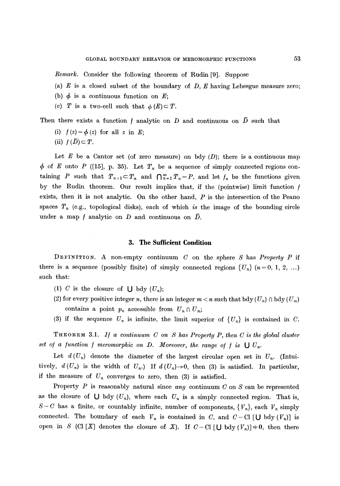*Remark.* Consider the following theorem of Rudin [9]. Suppose

- (a)  $E$  is a closed subset of the boundary of  $D$ ,  $E$  having Lebesgue measure zero;
- (b)  $\phi$  is a continuous function on E;
- (c) T is a two-cell such that  $\phi(E) \subset T$ .

Then there exists a function f analytic on D and continuous on  $\bar{D}$  such that

- (i)  $f(z) = \phi(z)$  for all z in E;
- (ii)  $f(\overline{D}) \subset T$ .

Let  $E$  be a Cantor set (of zero measure) on bdy  $(D)$ ; there is a continuous map  $\phi$  of E onto P ([15], p. 35). Let  $T_n$  be a sequence of simply connected regions containing P such that  $T_{n+1} \subset T_n$  and  $\bigcap_{n=1}^{\infty} T_n = P$ , and let  $f_n$  be the functions given by the Rudin theorem. Our result implies that, if the (pointwise) limit function  $f$ exists, then it is not analytic. On the other hand,  $P$  is the intersection of the Peano spaces  $T_n$  (e.g., topological disks), each of which *is* the image of the bounding circle under a map f analytic on D and continuous on  $\overline{D}$ .

#### **3. The Sufficient Condition**

DEFINITION. A non-empty continuum C on the sphere S has *Property P* if there is a sequence (possibly finite) of simply connected regions  $\{U_n\}$   $(n=0, 1, 2, ...)$ such that:

- (1) C is the closure of  $\bigcup$  bdy  $(U_n);$
- (2) for every positive integer n, there is an integer  $m < n$  such that bdy  $(U_n) \cap \text{bdy}(U_m)$ contains a point  $p_n$  accessible from  $U_n \cap U_m$ ;
- (3) if the sequence  $U_n$  is infinite, the limit superior of  $\{U_n\}$  is contained in C.

THEOREM 3.1. *I/ a continuum C on S has Property P, then C is the global cluster*  set of a function f meromorphic on D. Moreover, the range of f is  $\bigcup U_n$ .

Let  $d(U_n)$  denote the diameter of the largest circular open set in  $U_n$ . (Intuitively,  $d(U_n)$  is the width of  $U_n$ .) If  $d(U_n) \rightarrow 0$ , then (3) is satisfied. In particular, if the measure of  $U_n$  converges to zero, then  $(3)$  is satisfied.

Property P is reasonably natural since *any* continuum C on S can be represented as the closure of  $\bigcup$  bdy  $(U_n)$ , where each  $U_n$  is a simply connected region. That is,  $S-C$  has a finite, or countably infinite, number of components,  ${V_n}$ , each  $V_n$  simply connected. The boundary of each  $V_n$  is contained in C, and  $C-\text{CI}$  [U bdy  $(V_n)$ ] is open in S (Cl [X] denotes the closure of X). If  $C-C1$  [U bdy  $(V_n)$ ]  $\neq 0$ , then there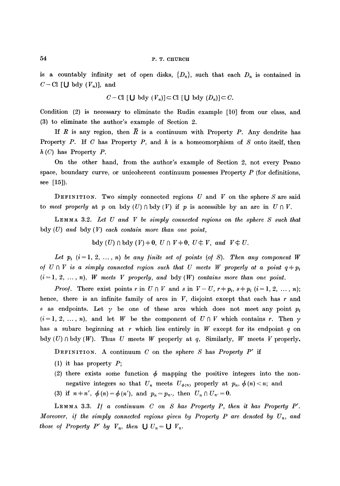is a countably infinity set of open disks,  $\{D_n\}$ , such that each  $D_n$  is contained in  $C-\mathrm{Cl}$  [U bdy  $(V_n)$ ], and

$$
C-\mathrm{Cl} [U \text{ bdy } (V_n)] \subset \mathrm{Cl} [U \text{ bdy } (D_n)] \subset C.
$$

Condition (2) is necessary to eliminate the Rudin example [10] from our class, and (3) to eliminate the author's example of Section 2.

If R is any region, then  $\bar{R}$  is a continuum with Property P. Any dendrite has Property P. If C has Property P, and  $h$  is a homeomorphism of S onto itself, then  $h(C)$  has Property P.

On the other hand, from the author's example of Section 2, not every Peano space, boundary curve, or unicoherent continuum possesses Property  $P$  (for definitions, see [15]).

DEFINITION. Two simply connected regions U and V on the sphere S are said to *meet properly* at p on bdy(U)  $\cap$  bdy(V) if p is accessible by an arc in  $U \cap V$ .

LEMMA 3.2. *Let U and V be simply connected regions on the sphere S such that*  bdy (U) *and* bdy (V) *each contain more than one point,* 

bdy (U)  $\cap$  bdy (V)  $\neq$  0,  $U \cap V \neq 0$ ,  $U \notin V$ , and  $V \notin U$ .

Let  $p_i$   $(i = 1, 2, ..., n)$  be any finite set of points (of S). Then any component W *of*  $U \cap V$  is a simply connected region such that U meets W properly at a point  $q + p_i$  $(i = 1, 2, \ldots, n)$ , *W* meets *V* properly, and bdy  $(W)$  contains more than one point.

*Proof.* There exist points r in  $U \cap V$  and s in  $V-U$ ,  $r+p_i$ ,  $s+p_i$   $(i=1, 2, ..., n);$ hence, there is an infinite family of arcs in  $V$ , disjoint except that each has  $r$  and s as endpoints. Let  $\gamma$  be one of these arcs which does not meet any point  $p_i$  $(i=1, 2, \ldots, n)$ , and let W be the component of  $U \cap V$  which contains r. Then  $\gamma$ has a subarc beginning at r which lies entirely in W except for its endpoint q on bdy  $(U) \cap$  bdy  $(W)$ . Thus U meets W properly at q, Similarly, W meets V properly.

DEFInITIOn. A continuum C on the sphere S has *Property P'* if

- (1) it has property P;
- (2) there exists some function  $\phi$  mapping the positive integers into the nonnegative integers so that  $U_n$  meets  $U_{\phi(n)}$  properly at  $p_n$ ,  $\phi(n) < n$ ; and
- (3) if  $n+n'$ ,  $\phi(n) = \phi(n')$ , and  $p_n = p_n$ , then  $U_n \cap U_{n'} = 0$ .

LEMMA 3.3. *I/ a continuum C on S has Property P, then it has Property P'. Moreover, if the simply connected regions given by Property P are denoted by*  $U_n$ *, and those of Property P' by*  $V_n$ *, then*  $\bigcup U_n = \bigcup V_n$ .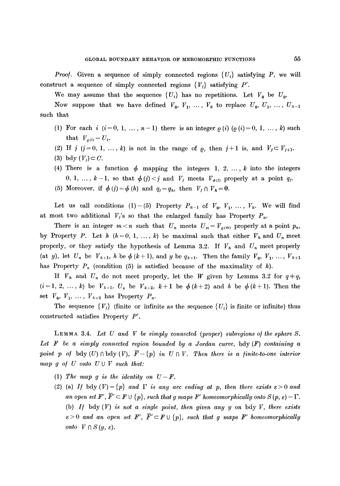We may assume that the sequence  $\{U_i\}$  has no repetitions. Let  $V_0$  be  $U_0$ .

Now suppose that we have defined  $V_0, V_1, \ldots, V_k$  to replace  $U_0, U_1, \ldots, U_{n-1}$ such that

- (1) For each  $i$   $(i = 0, 1, ..., n-1)$  there is an integer  $\varrho$  (i)  $(\varrho(i) = 0, 1, ..., k)$  such that  $V_{\rho(i)} = U_i$ .
- (2) If  $j$  ( $j=0, 1, \ldots, k$ ) is not in the range of  $\rho$ , then  $j+1$  is, and  $V_j \subset V_{j+1}$ .
- (3) bdy  $(V_i) \subset C$ .
- (4) There is a function  $\phi$  mapping the integers 1, 2, ..., k into the integers 0, 1, ...,  $k-1$ , so that  $\phi(j) < j$  and  $V_j$  meets  $V_{\phi(j)}$  properly at a point  $q_j$ .
- (5) Moreover, if  $\phi(r) = \phi(h)$  and  $q_j = q_h$ , then  $V_j \cap V_h = 0$ .

Let us call conditions (1)-(5) Property  $P_{n-1}$  of  $V_0$ ,  $V_1$ , ...,  $V_k$ . We will find at most two additional  $V_i$ 's so that the enlarged family has Property  $P_n$ .

There is an integer  $m < n$  such that  $U_n$  meets  $U_m = V_{\rho(m)}$  properly at a point  $p_n$ , by Property P. Let h  $(h=0, 1, ..., k)$  be maximal such that either  $V_h$  and  $U_n$  meet properly, or they satisfy the hypothesis of Lemma 3.2. If  $V_h$  and  $U_n$  meet properly (at y), let  $U_n$  be  $V_{k+1}$ , h be  $\phi$  (k+1), and y be  $q_{k+1}$ . Then the family  $V_0$ ,  $V_1$ , ...,  $V_{k+1}$ has Property  $P_n$  (condition (5) is satisfied because of the maximality of h).

If  $V_h$  and  $U_n$  do not meet properly, let the W given by Lemma 3.2 for  $q+q_i$  $(i=1, 2, \ldots, k)$  be  $V_{k+1}$ ,  $U_n$  be  $V_{k+2}$ ,  $k+1$  be  $\phi(k+2)$  and h be  $\phi(k+1)$ . Then the set  $V_0$ ,  $V_1$ , ...,  $V_{k+2}$  has Property  $P_n$ .

The sequence  $\{V_i\}$  (finite or infinite as the sequence  $\{U_i\}$  is finite or infinite) thus constructed satisfies Property P'.

LEMMA 3.4. Let U and V be simply connected (proper) subregions of the sphere S. *Let 1~ be a simply connected region bounded by a Jordan curve,* bdy (F) *containing a point p of bdy*(U)  $\cap$  *bdy*(V),  $\overline{F}-\{p\}$  *in U*  $\cap$  V. Then there is a finite-to-one interior *map g o/ U onto U U V such that:* 

- (1) The map g is the identity on  $U-F$ .
- (2) (a) *If* bdy  $(V) = {p}$  *and*  $\Gamma$  *is any arc ending at p, then there exists*  $\varepsilon > 0$  *and an open set*  $F', \overline{F}' \subset F \cup \{p\}$ , *such that g maps F' homeomorphically onto*  $S(p, \varepsilon) - \Gamma$ . (b) *I/* bdy (V) *is not a single point, then given any y on* bdy V, *there exists*   $\varepsilon > 0$  and an open set **F'**,  $\overline{F}' \subset F \cup \{p\}$ , such that g maps **F'** homeomorphically *onto*  $V \cap S(y, \varepsilon)$ .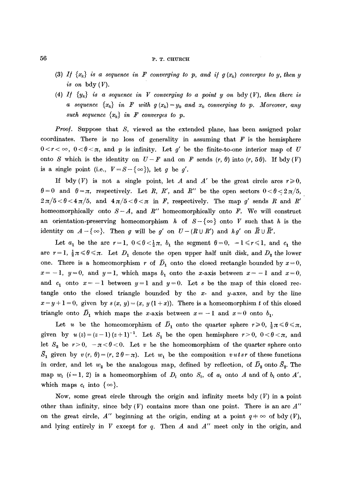## **56 P.T. CHURCH**

- (3) *If*  $\{x_k\}$  *is a sequence in F converging to p, and if g* $(x_k)$  *converges to y, then y is on* bdy (V).
- (4) If  $\{y_k\}$  is a sequence in V converging to a point y on bdy  $(V)$ , then there is *a* sequence  $\{x_k\}$  in **F** with  $g(x_k)=y_k$  and  $x_k$  converging to p. Moreover, any *such sequence*  $\{x_k\}$  *in F converges to p.*

*Proof.* Suppose that S, viewed as the extended plane, has been assigned polar coordinates. There is no loss of generality in assuming that  $F$  is the hemisphere  $0 < r < \infty$ ,  $0 < \theta < \pi$ , and  $p$  is infinity. Let g' be the finite-to-one interior map of U onto S which is the identity on  $U-F$  and on F sends  $(r, \theta)$  into  $(r, 5\theta)$ . If bdy  $(V)$ is a single point (i.e.,  $V = S - \{\infty\}$ ), let g be g'.

If bdy(V) is not a single point, let A and A' be the great circle arcs  $r \ge 0$ ,  $\theta = 0$  and  $\theta = \pi$ , respectively. Let R, R', and R'' be the open sectors  $0 < \theta < 2\pi/5$ ,  $2\pi/5 < \theta < 4\pi/5$ , and  $4\pi/5 < \theta < \pi$  in F, respectively. The map g' sends R and R' homeomorphically onto  $S-A$ , and  $R''$  homeomorphically onto F. We will construct an orientation-preserving homeomorphism h of  $S-\{\infty\}$  onto V such that h is the identity on  $A - \{\infty\}$ . Then g will be g' on  $U - (R \cup R')$  and  $hg'$  on  $\overline{R} \cup \overline{R}'$ .

Let  $a_1$  be the arc  $r=1$ ,  $0\le \theta < \frac{1}{2}\pi$ ,  $b_1$  the segment  $\theta=0$ ,  $-1\le r\le 1$ , and  $c_1$  the are  $r = 1$ ,  $\frac{1}{2}\pi \leq \theta \leq \pi$ . Let  $D_1$  denote the open upper half unit disk, and  $D_2$  the lower one. There is a homeomorphism r of  $\overline{D}_1$  onto the closed rectangle bounded by  $x=0$ ,  $x=-1$ ,  $y=0$ , and  $y=1$ , which maps  $b_1$  onto the x-axis between  $x=-1$  and  $x=0$ , and  $c_1$  onto  $x=-1$  between  $y=1$  and  $y=0$ . Let s be the map of this closed rectangle onto the closed triangle bounded by the  $x$ - and  $y$ -axes, and by the line  $x-y+1=0$ , given by  $s(x, y)=(x, y(1+x))$ . There is a homeomorphism t of this closed triangle onto  $\bar{D}_1$  which maps the x-axis between  $x = -1$  and  $x = 0$  onto  $b_1$ .

Let u be the homeomorphism of  $\bar{D}_1$  onto the quarter sphere  $r \geq 0$ ,  $\frac{1}{2}\pi \leq \theta \leq \pi$ , given by  $u(z) = (z-1)(z+1)^{-1}$ . Let  $S_1$  be the open hemisphere  $r > 0$ ,  $0 < \theta < \pi$ , and let  $S_2$  be  $r>0$ ,  $-\pi<\theta<0$ . Let v be the homeomorphism of the quarter sphere onto  $\bar{S}_1$  given by  $v(r, \theta)=(r, 2\theta-\pi)$ . Let  $w_1$  be the composition  $vutsr$  of these functions in order, and let  $w_2$  be the analogous map, defined by reflection, of  $\overline{D}_2$  onto  $\overline{S}_2$ . The map  $w_i$  (i = 1, 2) is a homeomorphism of  $D_i$  onto  $S_i$ , of  $a_i$  onto A and of  $b_i$  onto A', which maps  $c_i$  into  $\{\infty\}$ .

Now, some great circle through the origin and infinity meets bdy  $(V)$  in a point other than infinity, since bdy  $(V)$  contains more than one point. There is an arc  $A''$ on the great circle, *A''* beginning at the origin, ending at a point  $q \neq \infty$  of bdy  $(V)$ , and lying entirely in  $V$  except for  $q$ . Then  $A$  and  $A''$  meet only in the origin, and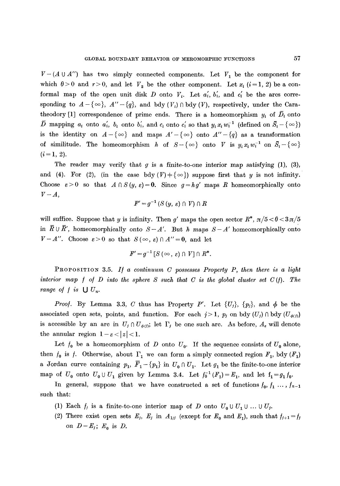$V-(A \cup A'')$  has two simply connected components. Let  $V_1$  be the component for which  $\theta > 0$  and  $r > 0$ , and let  $V_2$  be the other component. Let  $x_i$  (i=1, 2) be a conformal map of the open unit disk D onto  $V_i$ . Let  $a'_i$ ,  $b'_i$ , and  $c'_i$  be the arcs corresponding to  $A - \{\infty\}$ ,  $A'' - \{q\}$ , and bdy  $(V_i) \cap$  bdy  $(V)$ , respectively, under the Caratheodory [1] correspondence of prime ends. There is a homeomorphism  $y_i$  of  $\overline{D}_i$  onto  $\overline{D}$  mapping  $a_i$  onto  $a'_i$ ,  $b_i$  onto  $b'_i$ , and  $c_i$  onto  $c'_i$  so that  $y_i x_i w_i^{-1}$  (defined on  $\overline{S}_i - \{\infty\}$ ) is the identity on  $A-\{\infty\}$  and maps  $A'-\{\infty\}$  onto  $A''-\{q\}$  as a transformation of similitude. The homeomorphism h of  $S-\{\infty\}$  onto V is  $y_i x_i w_i^{-1}$  on  $\bar{S}_i-\{\infty\}$  $(i = 1, 2).$ 

The reader may verify that  $g$  is a finite-to-one interior map satisfying (1), (3), and (4). For (2), (in the case bdy  $(V)$  + { $\infty$ }) suppose first that y is not infinity. Choose  $\varepsilon > 0$  so that  $A \cap S (y, \varepsilon) = 0$ . Since  $g = h g'$  maps R homeomorphically onto  $V-A,$ 

$$
F'=g^{-1}(S(y, \varepsilon) \cap V) \cap R
$$

will suffice. Suppose that y is infinity. Then g' maps the open sector  $R^*$ ,  $\pi/5 < \theta < 3\pi/5$ in  $\bar{R} \cup \bar{R}'$ , homeomorphically onto  $S-A'$ . But h maps  $S-A'$  homeomorphically onto  $V-A''$ . Choose  $\varepsilon>0$  so that  $S(\infty, \varepsilon) \cap A''=0$ , and let

$$
F'=g^{-1}[S(\infty, \varepsilon) \cap V] \cap R^*.
$$

PROPOSITION 3.5. If a continuum C possesses Property P, then there is a light *interior map f of D into the sphere S such that C is the global cluster set*  $C(f)$ *. The range of f is*  $\bigcup U_n$ .

*Proof.* By Lemma 3.3, C thus has Property P'. Let  $\{U_j\}$ ,  $\{p_j\}$ , and  $\phi$  be the associated open sets, points, and function. For each  $j>1$ ,  $p_j$  on bdy  $(U_j) \cap$  bdy  $(U_{\phi(j)})$ is accessible by an arc in  $U_j \cap U_{\phi(j)}$ ; let  $\Gamma_j$  be one such arc. As before,  $A_{\epsilon}$  will denote the annular region  $1 - \varepsilon < |z| < 1$ .

Let  $f_0$  be a homeomorphism of D onto  $U_0$ . If the sequence consists of  $U_0$  alone, then  $f_0$  is f. Otherwise, about  $\Gamma_1$  we can form a simply connected region  $F_1$ , bdy  $(F_1)$ a Jordan curve containing  $p_1, \overline{F}_1 - \{p_1\}$  in  $U_0 \cap U_1$ . Let  $g_1$  be the finite-to-one interior map of  $U_0$  onto  $U_0 \cup U_1$  given by Lemma 3.4. Let  $f_0^{-1}(F_1) = E_1$ , and let  $f_1 = g_1 f_0$ .

In general, suppose that we have constructed a set of functions  $f_0, f_1, \ldots, f_{n-1}$ such that:

- (1) Each  $f_j$  is a finite-to-one interior map of D onto  $U_0 \cup U_1 \cup ... \cup U_j$ .
- (2) There exist open sets  $E_j$ ,  $E_j$  in  $A_{1/j}$  (except for  $E_0$  and  $E_1$ ), such that  $f_{j+1} = f_j$ on  $D-E_j$ ;  $E_0$  is  $D$ .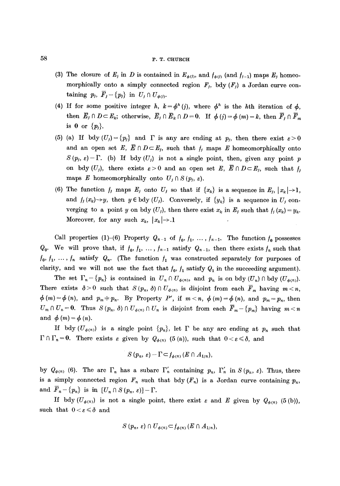# 58 P. T. CHURCH

- (3) The closure of  $E_j$  in D is contained in  $E_{\phi(j)}$ , and  $f_{\phi(j)}$  (and  $f_{j-1}$ ) maps  $E_j$  homeomorphically onto a simply connected region  $F_j$ , bdy  $(F_j)$  a Jordan curve containing  $p_j$ ,  $\overline{F}_j - \{p_j\}$  in  $U_j \cap U_{\phi(j)}$ .
- (4) If for some positive integer h,  $k = \phi^h$  (j), where  $\phi^h$  is the hth iteration of  $\phi$ , then  $\overline{E}_j \cap D \subset E_k$ ; otherwise,  $\overline{E}_j \cap \overline{E}_k \cap D = 0$ . If  $\phi(i) = \phi(m) = k$ , then  $\overline{F}_i \cap \overline{F}_m$ is 0 or  $\{p_i\}$ .
- (5) (a) If bdy  $(U_j) = \{p_j\}$  and  $\Gamma$  is any arc ending at  $p_j$ , then there exist  $\varepsilon > 0$ and an open set E,  $\overline{E} \cap D \subset E_j$ , such that  $f_j$  maps E homeomorphically onto  $S(p_j, \varepsilon)$ - F. (b) If bdy  $(U_j)$  is not a single point, then, given any point p on bdy  $(U_j)$ , there exists  $\varepsilon>0$  and an open set E,  $\overline{E} \cap D \subset E_j$ , such that  $f_j$ maps E homeomorphically onto  $U_j \cap S(p_j, \varepsilon)$ .
- (6) The function  $f_j$  maps  $E_j$  onto  $U_j$  so that if  $\{x_k\}$  is a sequence in  $E_j$ ,  $|x_k| \rightarrow 1$ , and  $f_i(x_k) \rightarrow y$ , then  $y \in bdy$  (U<sub>j</sub>). Conversely, if  $\{y_k\}$  is a sequence in U<sub>j</sub> converging to a point y on bdy  $(U_j)$ , then there exist  $x_k$  in  $E_j$  such that  $f_i(x_k) = y_k$ . Moreover, for any such  $x_k$ ,  $|x_k| \rightarrow 1$

Call properties (1)-(6) Property  $Q_{n-1}$  of  $f_0, f_1, \ldots, f_{n-1}$ . The function  $f_0$  possesses  $Q_0$ . We will prove that, if  $f_0, f_1, \ldots, f_{n-1}$  satisfy  $Q_{n-1}$ , then there exists  $f_n$  such that  $f_0, f_1, \ldots, f_n$  satisfy  $Q_n$ . (The function  $f_1$  was constructed separately for purposes of clarity, and we will not use the fact that  $f_0$ ,  $f_1$  satisfy  $Q_1$  in the succeeding argument).

The set  $\Gamma_n - \{p_n\}$  is contained in  $U_n \cap U_{\phi(n)}$ , and  $p_n$  is on bdy  $(U_n) \cap$  bdy  $(U_{\phi(n)})$ . There exists  $\delta > 0$  such that  $S(p_n, \delta) \cap U_{\phi(n)}$  is disjoint from each  $\overline{F}_m$  having  $m < n$ ,  $\phi(m) = \phi(n)$ , and  $p_m \neq p_n$ . By Property P', if  $m < n$ ,  $\phi(m) = \phi(n)$ , and  $p_m = p_n$ , then  $U_m \cap U_n = 0$ . Thus  $S(p_n, \delta) \cap U_{\phi(n)} \cap U_n$  is disjoint from each  $\overline{F}_m - \{p_m\}$  having  $m < n$ and  $\phi(m) = \phi(n)$ .

If bdy  $(U_{\phi(n)})$  is a single point  $\{p_n\}$ , let  $\Gamma$  be any arc ending at  $p_n$  such that  $\Gamma \cap \Gamma_n=0$ . There exists  $\varepsilon$  given by  $Q_{\phi(n)}$  (5 (a)), such that  $0 < \varepsilon \leq \delta$ , and

$$
S(p_n, \varepsilon) - \Gamma \subset f_{\phi(n)}(E \cap A_{1/n}),
$$

by  $Q_{\phi(n)}$  (6). The arc  $\Gamma_n$  has a subarc  $\Gamma'_n$  containing  $p_n$ ,  $\Gamma'_n$  in  $S(p_n, \varepsilon)$ . Thus, there is a simply connected region  $F_n$  such that bdy  $(F_n)$  is a Jordan curve containing  $p_n$ , and  $\overline{F}_n - \{p_n\}$  is in  $[U_n \cap S(p_n, \varepsilon)] - \Gamma$ .

If bdy  $(U_{\phi(n)})$  is not a single point, there exist  $\varepsilon$  and E given by  $Q_{\phi(n)}$  (5(b)), such that  $0 < \varepsilon \leq \delta$  and

$$
S(p_n, \varepsilon) \cap U_{\phi(n)} \subset f_{\phi(n)}(E \cap A_{1/n}),
$$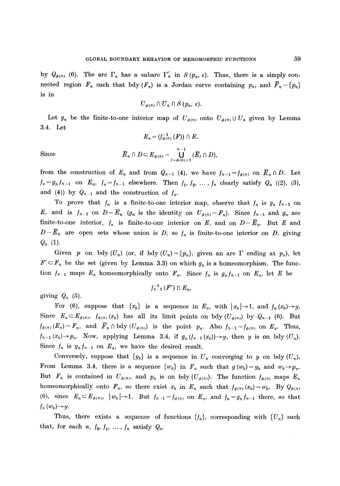by  $Q_{\phi(n)}$  (6). The arc  $\Gamma_n$  has a subarc  $\Gamma'_n$  in  $S(p_n, \varepsilon)$ . Thus, there is a simply connected region  $F_n$  such that bdy  $(F_n)$  is a Jordan curve containing  $p_n$ , and  $\overline{F}_n - \{p_n\}$ is in

$$
U_{\phi(n)}\cap U_n\cap S(p_n, \varepsilon).
$$

Let  $g_n$  be the finite-to-one interior map of  $U_{\phi(n)}$  onto  $U_{\phi(n)} \cup U_n$  given by Lemma 3.4. Let

$$
E_n = (f_{\phi(n)}^{-1}(F)) \cap E.
$$
  
Since  

$$
\overline{E}_n \cap D \subset E_{\phi(n)} - \bigcup_{j=\phi(n)+1}^{n-1} (\overline{E}_j \cap D),
$$

from the construction of  $E_n$  and from  $Q_{n-1}$  (4), we have  $f_{n-1}=f_{\phi(n)}$  on  $\overline{E}_n \cap D$ . Let  $f_n = g_n f_{n-1}$  on  $E_n$ ,  $f_n = f_{n-1}$  elsewhere. Then  $f_1, f_2, ..., f_n$  clearly satisfy  $Q_n$  ((2), (3), and (4)) by  $Q_{n-1}$  and the construction of  $f_n$ .

To prove that  $f_n$  is a finite-to-one interior map, observe that  $f_n$  is  $g_n f_{n-1}$  on E, and is  $f_{n-1}$  on  $D-\overline{E}_n$  ( $g_n$  is the identity on  $U_{\phi(n)}-F_n$ ). Since  $f_{n-1}$  and  $g_n$  are finite-to-one interior,  $f_n$  is finite-to-one interior on *E*, and on  $D-\overline{E}_n$ . But *E* and  $D-E_n$  are open sets whose union is D, so  $f_n$  is finite-to-one interior on D, giving  $Q_n$  (1).

Given p on bdy  $(U_n)$  (or, if bdy  $(U_n) = \{p_n\}$ , given an arc  $\Gamma$  ending at  $p_n$ ), let  $F' \subset F_n$  be the set (given by Lemma 3.3) on which  $g_n$  is a homeomorphism. The function  $f_{n-1}$  maps  $E_n$  homeomorphically onto  $F_n$ . Since  $f_n$  is  $g_n f_{n-1}$  on  $E_n$ , let E be

giving  $Q_n$  (5).

$$
f_{n-1}^{-1}\left( F^{\prime}\right) \cap E_{n},
$$

For (6), suppose that  $\{x_k\}$  is a sequence in  $E_n$ , with  $|x_k|\rightarrow 1$ , and  $f_n(x_k)\rightarrow y$ . Since  $E_n \subset E_{\phi(n)}$ ,  $f_{\phi(n)}(x_k)$  has all its limit points on bdy  $(U_{\phi(n)})$  by  $Q_{n-1}$  (6). But  $f_{\phi(n)}(E_n) = F_n$ , and  $\overline{F}_n \cap \text{bdy} (U_{\phi(n)})$  is the point  $p_n$ . Also  $f_{n-1} = f_{\phi(n)}$  on  $E_n$ . Thus,  $f_{n-1}(x_k) \to p_n$ . Now, applying Lemma 3.4, if  $g_n(f_{n-1}(x_k)) \to y$ , then y is on bdy  $(U_n)$ . Since  $f_n$  is  $g_n f_{n-1}$  on  $E_n$ , we have the desired result.

Conversely, suppose that  $\{y_k\}$  is a sequence in  $U_n$  converging to y on bdy  $(U_n)$ . From Lemma 3.4, there is a sequence  $\{w_k\}$  in  $F_n$  such that  $g(w_k)=y_k$  and  $w_k\rightarrow p_n$ . But  $F_n$  is contained in  $U_{\phi(n)}$ , and  $p_n$  is on bdy  $(U_{\phi(n)})$ . The function  $f_{\phi(n)}$  maps  $E_n$ homeomorphically onto  $F_n$ , so there exist  $x_k$  in  $E_n$  such that  $f_{\phi(n)}(x_k) = w_k$ . By  $Q_{\phi(n)}$ (6), since  $E_n \subset E_{\phi(n)}$ ,  $|w_k| \to 1$ . But  $f_{n-1} = f_{\phi(n)}$  on  $E_n$ , and  $f_n = g_n f_{n-1}$  there, so that  $f_n(w_k) \rightarrow y.$ 

Thus, there exists a sequence of functions  $\{f_n\}$ , corresponding with  $\{U_n\}$  such that, for each *n*,  $f_0, f_1, \ldots, f_n$  satisfy  $Q_n$ .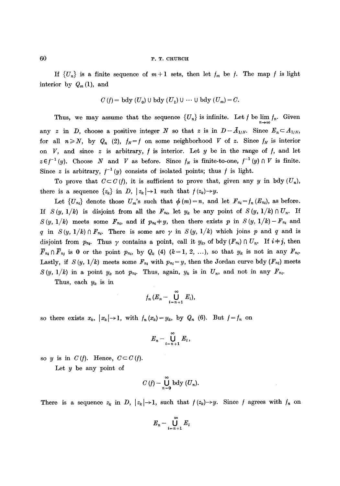If  $\{U_n\}$  is a finite sequence of  $m+1$  sets, then let  $f_m$  be f. The map f is light interior by  $Q_m(1)$ , and

$$
C(f) = \text{bdy}(U_0) \cup \text{bdy}(U_1) \cup \cdots \cup \text{bdy}(U_m) = C.
$$

Thus, we may assume that the sequence  $\{U_n\}$  is infinite. Let f be  $\lim_{n\to\infty} f_n$ . Given any z in D, choose a positive integer N so that z is in  $D-\bar{A}_{1/N}$ . Since  $E_n \subset A_{1/N}$ , for all  $n \ge N$ , by  $Q_n$  (2),  $f_N = f$  on some neighborhood V of z. Since  $f_N$  is interior on  $V$ , and since  $z$  is arbitrary,  $f$  is interior. Let  $y$  be in the range of  $f$ , and let  $z \in f^{-1}(y)$ . Choose N and V as before. Since  $f_N$  is finite-to-one,  $f^{-1}(y) \cap V$  is finite. Since z is arbitrary,  $f^{-1}(y)$  consists of isolated points; thus f is light.

To prove that  $C \subset C(f)$ , it is sufficient to prove that, given any y in bdy  $(U_n)$ , there is a sequence  $\{z_k\}$  in D,  $|z_k| \to 1$  such that  $f(z_k) \to y$ .

Let  $\{U_{n_i}\}\$  denote those  $U_m$ 's such that  $\phi(m)=n$ , and let  $F_{n_i}=f_n (E_{n_i})$ , as before. If  $S(y, 1/k)$  is disjoint from all the  $F_{n_i}$ , let  $y_k$  be any point of  $S(y, 1/k) \cap U_n$ . If  $S(y, 1/k)$  meets some  $F_{n_i}$ , and if  $p_{n_i} \neq y$ , then there exists p in  $S(y, 1/k) - F_{n_i}$  and q in  $S(y, 1/k) \cap F_{n}$ . There is some arc  $\gamma$  in  $S(y, 1/k)$  which joins p and q and is disjoint from  $p_{n_i}$ . Thus  $\gamma$  contains a point, call it  $y_k$ , of bdy  $(F_{n_i}) \cap U_n$ . If  $i \neq j$ , then  $\overline{F}_{n_4} \cap \overline{F}_{n_1}$  is 0 or the point  $p_{n_i}$ , by  $Q_k$  (4)  $(k=1, 2, ...)$ , so that  $y_k$  is not in any  $F_{n_i}$ . Lastly, if  $S(y, 1/k)$  meets some  $F_{n_i}$  with  $p_{n_i} = y$ , then the Jordan curve bdy  $(F_{n_i})$  meets  $S(y, 1/k)$  in a point  $y_k$  not  $p_{n_k}$ . Thus, again,  $y_k$  is in  $U_n$ , and not in any  $F_{n_k}$ .

Thus, each  $y_k$  is in

$$
f_n(E_n-\bigcup_{i=n+1}^{\infty}E_i),
$$

so there exists  $x_k$ ,  $|x_k| \to 1$ , with  $f_n(x_k)=y_k$ , by  $Q_n$  (6). But  $f=f_n$  on

$$
E_n-\bigcup_{i=n+1}^{\infty}E_i,
$$

so y is in  $C(f)$ . Hence,  $C \subset C(f)$ .

Let  $y$  be any point of

$$
C(f)-\bigcup_{n=0}^{\infty}\mathrm{bdy}\,(U_n).
$$

There is a sequence  $z_k$  in D,  $|z_k| \to 1$ , such that  $f(z_k) \to y$ . Since f agrees with  $f_n$  on

$$
E_n-\bigcup_{i=n+1}^\infty E_i
$$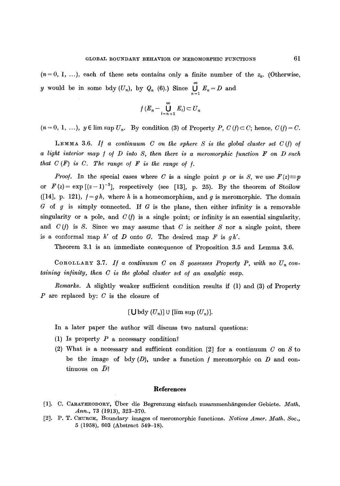$$
f(E_n - \bigcup_{i=n+1}^{\infty} E_i) \subset U_n
$$

 $(n = 0, 1, \ldots)$ ,  $y \in \limsup U_n$ . By condition (3) of Property P,  $C(f) \subset C$ ; hence,  $C(f) = C$ .

LEMMA 3.6. If a continuum C on the sphere S is the global cluster set  $C(f)$  of *a light interior map f of D into S, then there is a meromorphic function* **F** on D such *that*  $C(F)$  *is C. The range of*  $F$  *is the range of*  $f$ *.* 

*Proof.* In the special cases where C is a single point p or is S, we use  $F(z) \equiv p$ or  $F(z) = \exp[(z-1)^{-3}]$ , respectively (see [13], p. 25). By the theorem of Stoilow ([14], p. 121),  $f = gh$ , where h is a homeomorphism, and g is meromorphic. The domain  $G$  of g is simply connected. If G is the plane, then either infinity is a removable singularity or a pole, and  $C(f)$  is a single point; or infinity is an essential singularity, and  $C(f)$  is S. Since we may assume that C is neither S nor a single point, there is a conformal map  $h'$  of  $D$  onto  $G$ . The desired map  $F$  is  $g h'$ .

Theorem 3.1 is an immediate consequence of Proposition 3.5 and Lemma 3.6.

COROLLARY 3.7. If a continuum C on S possesses Property P, with no  $U_n$  con*taining infinity, then C is the global cluster set of an analytic map.* 

*Remarks.* A slightly weaker sufficient condition results if (1) and (3) of Property  $P$  are replaced by:  $C$  is the closure of

 $[\bigcup \mathrm{bdy}(U_n)]$  U  $[\limsup (U_n)]$ .

In a later paper the author will discuss two natural questions:

- (1) Is property  $P$  a necessary condition?
- (2) What is a necessary and sufficient condition  $[2]$  for a continuum  $C$  on  $S$  to be the image of bdy  $(D)$ , under a function f meromorphic on D and continuous on  $\bar{D}$ ?

#### **References**

- [1]. C. CARATHEODORY, Über die Begrenzung einfach zusammenhängender Gebiete. Math. *Ann.,* 73 (1913), 323-370.
- [2]. P.T. CHUrCh, Boundary images of meromorphic functions. *Notices Amer. Math. Soc.,*  5 (1958), 603 (Abstract 549-18).